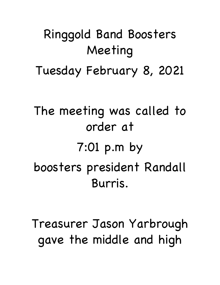## Ringgold Band Boosters Meeting

Tuesday February 8, 2021

The meeting was called to order at 7:01 p.m by boosters president Randall Burris.

Treasurer Jason Yarbrough gave the middle and high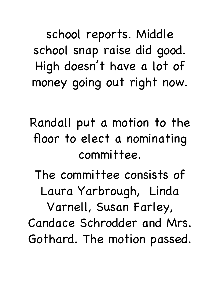school reports. Middle school snap raise did good. High doesn't have a lot of money going out right now.

Randall put a motion to the floor to elect a nominating committee.

The committee consists of Laura Yarbrough, Linda Varnell, Susan Farley, Candace Schrodder and Mrs. Gothard. The motion passed.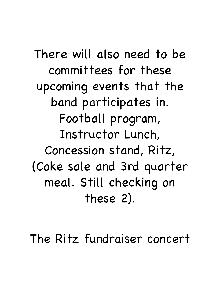There will also need to be committees for these upcoming events that the band participates in. Football program, Instructor Lunch, Concession stand, Ritz, (Coke sale and 3rd quarter meal. Still checking on these 2).

The Ritz fundraiser concert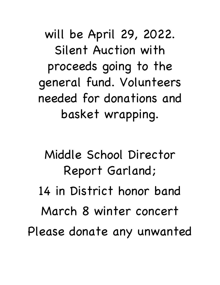will be April 29, 2022. Silent Auction with proceeds going to the general fund. Volunteers needed for donations and basket wrapping.

Middle School Director Report Garland; 14 in District honor band March 8 winter concert Please donate any unwanted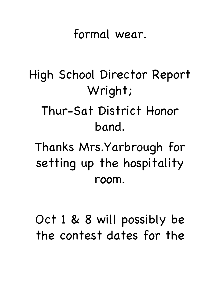## formal wear.

## High School Director Report Wright; Thur-Sat District Honor band. Thanks Mrs.Yarbrough for setting up the hospitality room.

Oct 1 & 8 will possibly be the contest dates for the